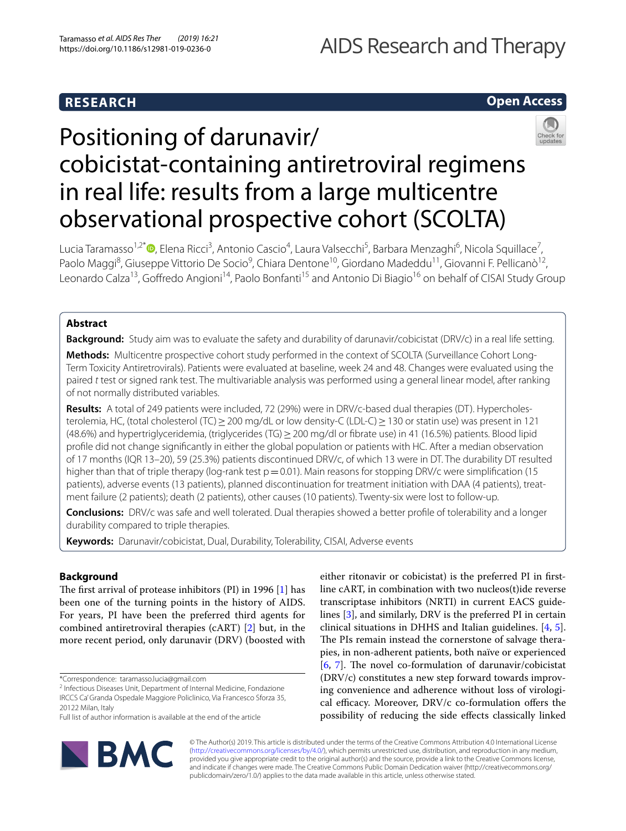# **RESEARCH**

# AIDS Research and Therapy

# **Open Access**



# Positioning of darunavir/ cobicistat-containing antiretroviral regimens in real life: results from a large multicentre observational prospective cohort (SCOLTA)

Lucia Taramasso<sup>1,2[\\*](http://orcid.org/0000-0002-6622-6358)</sup>®, Elena Ricci<sup>3</sup>, Antonio Cascio<sup>4</sup>, Laura Valsecchi<sup>5</sup>, Barbara Menzaghi<sup>6</sup>, Nicola Squillace<sup>7</sup>, Paolo Maggi<sup>8</sup>, Giuseppe Vittorio De Socio<sup>9</sup>, Chiara Dentone<sup>10</sup>, Giordano Madeddu<sup>11</sup>, Giovanni F. Pellicanò<sup>12</sup>, Leonardo Calza<sup>13</sup>, Goffredo Angioni<sup>14</sup>, Paolo Bonfanti<sup>15</sup> and Antonio Di Biagio<sup>16</sup> on behalf of CISAI Study Group

# **Abstract**

**Background:** Study aim was to evaluate the safety and durability of darunavir/cobicistat (DRV/c) in a real life setting. **Methods:** Multicentre prospective cohort study performed in the context of SCOLTA (Surveillance Cohort Long-Term Toxicity Antiretrovirals). Patients were evaluated at baseline, week 24 and 48. Changes were evaluated using the paired *t* test or signed rank test. The multivariable analysis was performed using a general linear model, after ranking of not normally distributed variables.

**Results:** A total of 249 patients were included, 72 (29%) were in DRV/c-based dual therapies (DT). Hypercholesterolemia, HC, (total cholesterol (TC) ≥ 200 mg/dL or low density-C (LDL-C) ≥ 130 or statin use) was present in 121 (48.6%) and hypertriglyceridemia, (triglycerides (TG)≥200 mg/dl or fbrate use) in 41 (16.5%) patients. Blood lipid profle did not change signifcantly in either the global population or patients with HC. After a median observation of 17 months (IQR 13–20), 59 (25.3%) patients discontinued DRV/c, of which 13 were in DT. The durability DT resulted higher than that of triple therapy (log-rank test  $p=0.01$ ). Main reasons for stopping DRV/c were simplification (15 patients), adverse events (13 patients), planned discontinuation for treatment initiation with DAA (4 patients), treatment failure (2 patients); death (2 patients), other causes (10 patients). Twenty-six were lost to follow-up.

**Conclusions:** DRV/c was safe and well tolerated. Dual therapies showed a better profle of tolerability and a longer durability compared to triple therapies.

**Keywords:** Darunavir/cobicistat, Dual, Durability, Tolerability, CISAI, Adverse events

# **Background**

The first arrival of protease inhibitors (PI) in 1996  $[1]$  $[1]$  has been one of the turning points in the history of AIDS. For years, PI have been the preferred third agents for combined antiretroviral therapies (cART) [\[2](#page-6-1)] but, in the more recent period, only darunavir (DRV) (boosted with

\*Correspondence: taramasso.lucia@gmail.com

<sup>2</sup> Infectious Diseases Unit, Department of Internal Medicine, Fondazione IRCCS Ca' Granda Ospedale Maggiore Policlinico, Via Francesco Sforza 35, 20122 Milan, Italy

Full list of author information is available at the end of the article



either ritonavir or cobicistat) is the preferred PI in frstline cART, in combination with two nucleos(t)ide reverse transcriptase inhibitors (NRTI) in current EACS guidelines [[3](#page-6-2)], and similarly, DRV is the preferred PI in certain clinical situations in DHHS and Italian guidelines. [\[4](#page-6-3), [5](#page-6-4)]. The PIs remain instead the cornerstone of salvage therapies, in non-adherent patients, both naïve or experienced [[6,](#page-6-5) [7\]](#page-6-6). The novel co-formulation of darunavir/cobicistat (DRV/c) constitutes a new step forward towards improving convenience and adherence without loss of virological efficacy. Moreover,  $DRV/c$  co-formulation offers the possibility of reducing the side efects classically linked

© The Author(s) 2019. This article is distributed under the terms of the Creative Commons Attribution 4.0 International License [\(http://creativecommons.org/licenses/by/4.0/\)](http://creativecommons.org/licenses/by/4.0/), which permits unrestricted use, distribution, and reproduction in any medium, provided you give appropriate credit to the original author(s) and the source, provide a link to the Creative Commons license, and indicate if changes were made. The Creative Commons Public Domain Dedication waiver (http://creativecommons.org/ publicdomain/zero/1.0/) applies to the data made available in this article, unless otherwise stated.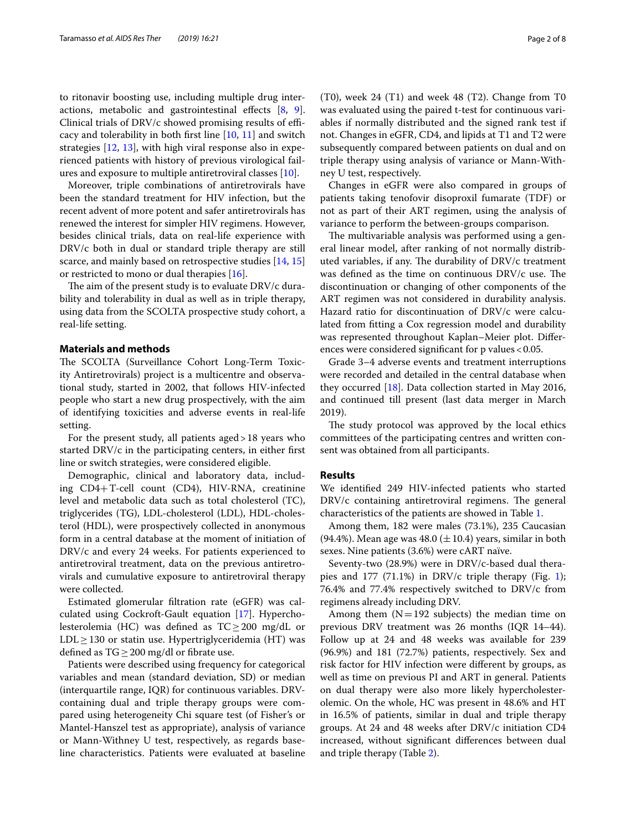to ritonavir boosting use, including multiple drug interactions, metabolic and gastrointestinal efects [[8,](#page-6-7) [9](#page-6-8)]. Clinical trials of  $DRV/c$  showed promising results of efficacy and tolerability in both frst line [\[10](#page-6-9), [11](#page-6-10)] and switch strategies [[12](#page-6-11), [13](#page-6-12)], with high viral response also in experienced patients with history of previous virological failures and exposure to multiple antiretroviral classes [[10](#page-6-9)].

Moreover, triple combinations of antiretrovirals have been the standard treatment for HIV infection, but the recent advent of more potent and safer antiretrovirals has renewed the interest for simpler HIV regimens. However, besides clinical trials, data on real-life experience with DRV/c both in dual or standard triple therapy are still scarce, and mainly based on retrospective studies [\[14,](#page-6-13) [15](#page-6-14)] or restricted to mono or dual therapies [\[16](#page-6-15)].

The aim of the present study is to evaluate DRV/c durability and tolerability in dual as well as in triple therapy, using data from the SCOLTA prospective study cohort, a real-life setting.

# **Materials and methods**

The SCOLTA (Surveillance Cohort Long-Term Toxicity Antiretrovirals) project is a multicentre and observational study, started in 2002, that follows HIV-infected people who start a new drug prospectively, with the aim of identifying toxicities and adverse events in real-life setting.

For the present study, all patients aged>18 years who started DRV/c in the participating centers, in either frst line or switch strategies, were considered eligible.

Demographic, clinical and laboratory data, including CD4+T-cell count (CD4), HIV-RNA, creatinine level and metabolic data such as total cholesterol (TC), triglycerides (TG), LDL-cholesterol (LDL), HDL-cholesterol (HDL), were prospectively collected in anonymous form in a central database at the moment of initiation of DRV/c and every 24 weeks. For patients experienced to antiretroviral treatment, data on the previous antiretrovirals and cumulative exposure to antiretroviral therapy were collected.

Estimated glomerular fltration rate (eGFR) was calculated using Cockroft-Gault equation [[17\]](#page-6-16). Hypercholesterolemia (HC) was defined as  $TC \geq 200$  mg/dL or LDL≥130 or statin use. Hypertriglyceridemia (HT) was defined as  $TG \geq 200$  mg/dl or fibrate use.

Patients were described using frequency for categorical variables and mean (standard deviation, SD) or median (interquartile range, IQR) for continuous variables. DRVcontaining dual and triple therapy groups were compared using heterogeneity Chi square test (of Fisher's or Mantel-Hanszel test as appropriate), analysis of variance or Mann-Withney U test, respectively, as regards baseline characteristics. Patients were evaluated at baseline

(T0), week 24 (T1) and week 48 (T2). Change from T0 was evaluated using the paired t-test for continuous variables if normally distributed and the signed rank test if not. Changes in eGFR, CD4, and lipids at T1 and T2 were subsequently compared between patients on dual and on triple therapy using analysis of variance or Mann-Withney U test, respectively.

Changes in eGFR were also compared in groups of patients taking tenofovir disoproxil fumarate (TDF) or not as part of their ART regimen, using the analysis of variance to perform the between-groups comparison.

The multivariable analysis was performed using a general linear model, after ranking of not normally distributed variables, if any. The durability of DRV/c treatment was defined as the time on continuous DRV/c use. The discontinuation or changing of other components of the ART regimen was not considered in durability analysis. Hazard ratio for discontinuation of DRV/c were calculated from ftting a Cox regression model and durability was represented throughout Kaplan–Meier plot. Diferences were considered significant for p values < 0.05.

Grade 3–4 adverse events and treatment interruptions were recorded and detailed in the central database when they occurred [[18\]](#page-6-17). Data collection started in May 2016, and continued till present (last data merger in March 2019).

The study protocol was approved by the local ethics committees of the participating centres and written consent was obtained from all participants.

#### **Results**

We identifed 249 HIV-infected patients who started  $DRV/c$  containing antiretroviral regimens. The general characteristics of the patients are showed in Table [1.](#page-2-0)

Among them, 182 were males (73.1%), 235 Caucasian (94.4%). Mean age was  $48.0 \, (\pm 10.4)$  years, similar in both sexes. Nine patients (3.6%) were cART naïve.

Seventy-two (28.9%) were in DRV/c-based dual therapies and 177 (71.1%) in DRV/c triple therapy (Fig. [1](#page-3-0)); 76.4% and 77.4% respectively switched to DRV/c from regimens already including DRV.

Among them  $(N=192$  subjects) the median time on previous DRV treatment was 26 months (IQR 14–44). Follow up at 24 and 48 weeks was available for 239 (96.9%) and 181 (72.7%) patients, respectively. Sex and risk factor for HIV infection were diferent by groups, as well as time on previous PI and ART in general. Patients on dual therapy were also more likely hypercholesterolemic. On the whole, HC was present in 48.6% and HT in 16.5% of patients, similar in dual and triple therapy groups. At 24 and 48 weeks after DRV/c initiation CD4 increased, without signifcant diferences between dual and triple therapy (Table [2\)](#page-3-1).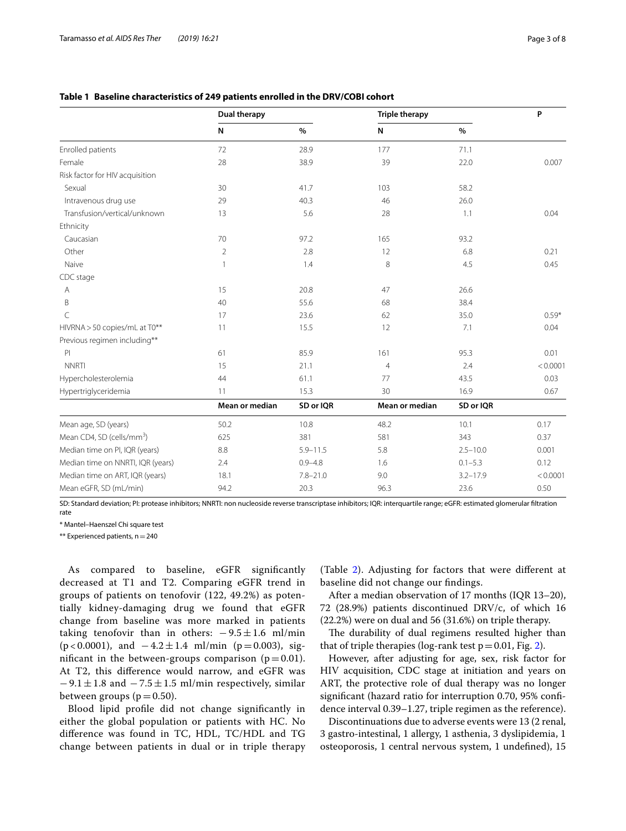|                                       | <b>Dual therapy</b> |              | <b>Triple therapy</b> |              | P        |
|---------------------------------------|---------------------|--------------|-----------------------|--------------|----------|
|                                       | N                   | $\%$         | N                     | $\%$         |          |
| Enrolled patients                     | 72                  | 28.9         | 177                   | 71.1         |          |
| Female                                | 28                  | 38.9         | 39                    | 22.0         | 0.007    |
| Risk factor for HIV acquisition       |                     |              |                       |              |          |
| Sexual                                | 30                  | 41.7         | 103                   | 58.2         |          |
| Intravenous drug use                  | 29                  | 40.3         | 46                    | 26.0         |          |
| Transfusion/vertical/unknown          | 13                  | 5.6          | 28                    | 1.1          | 0.04     |
| Ethnicity                             |                     |              |                       |              |          |
| Caucasian                             | 70                  | 97.2         | 165                   | 93.2         |          |
| Other                                 | $\overline{2}$      | 2.8          | 12                    | 6.8          | 0.21     |
| Naive                                 | $\mathbf{1}$        | 1.4          | 8                     | 4.5          | 0.45     |
| CDC stage                             |                     |              |                       |              |          |
| А                                     | 15                  | 20.8         | 47                    | 26.6         |          |
| B                                     | 40                  | 55.6         | 68                    | 38.4         |          |
| C                                     | 17                  | 23.6         | 62                    | 35.0         | $0.59*$  |
| HIVRNA > 50 copies/mL at T0**         | 11                  | 15.5         | 12                    | 7.1          | 0.04     |
| Previous regimen including**          |                     |              |                       |              |          |
| P                                     | 61                  | 85.9         | 161                   | 95.3         | 0.01     |
| <b>NNRTI</b>                          | 15                  | 21.1         | $\overline{4}$        | 2.4          | < 0.0001 |
| Hypercholesterolemia                  | 44                  | 61.1         | 77                    | 43.5         | 0.03     |
| Hypertriglyceridemia                  | 11                  | 15.3         | 30                    | 16.9         | 0.67     |
|                                       | Mean or median      | SD or IQR    | Mean or median        | SD or IQR    |          |
| Mean age, SD (years)                  | 50.2                | 10.8         | 48.2                  | 10.1         | 0.17     |
| Mean CD4, SD (cells/mm <sup>3</sup> ) | 625                 | 381          | 581                   | 343          | 0.37     |
| Median time on PI, IQR (years)        | 8.8                 | $5.9 - 11.5$ | 5.8                   | $2.5 - 10.0$ | 0.001    |
| Median time on NNRTI, IQR (years)     | 2.4                 | $0.9 - 4.8$  | 1.6                   | $0.1 - 5.3$  | 0.12     |
| Median time on ART, IQR (years)       | 18.1                | $7.8 - 21.0$ | 9.0                   | $3.2 - 17.9$ | < 0.0001 |
| Mean eGFR, SD (mL/min)                | 94.2                | 20.3         | 96.3                  | 23.6         | 0.50     |

# <span id="page-2-0"></span>**Table 1 Baseline characteristics of 249 patients enrolled in the DRV/COBI cohort**

SD: Standard deviation; PI: protease inhibitors; NNRTI: non nucleoside reverse transcriptase inhibitors; IQR: interquartile range; eGFR: estimated glomerular fltration rate

\* Mantel–Haenszel Chi square test

\*\* Experienced patients, n=240

As compared to baseline, eGFR signifcantly decreased at T1 and T2. Comparing eGFR trend in groups of patients on tenofovir (122, 49.2%) as potentially kidney-damaging drug we found that eGFR change from baseline was more marked in patients taking tenofovir than in others:  $-9.5 \pm 1.6$  ml/min (p < 0.0001), and  $-4.2 \pm 1.4$  ml/min (p = 0.003), significant in the between-groups comparison  $(p=0.01)$ . At T2, this diference would narrow, and eGFR was  $-9.1 \pm 1.8$  and  $-7.5 \pm 1.5$  ml/min respectively, similar between groups ( $p=0.50$ ).

Blood lipid profle did not change signifcantly in either the global population or patients with HC. No diference was found in TC, HDL, TC/HDL and TG change between patients in dual or in triple therapy

(Table [2](#page-3-1)). Adjusting for factors that were diferent at baseline did not change our fndings.

After a median observation of 17 months (IQR 13–20), 72 (28.9%) patients discontinued DRV/c, of which 16 (22.2%) were on dual and 56 (31.6%) on triple therapy.

The durability of dual regimens resulted higher than that of triple therapies (log-rank test  $p=0.01$ , Fig. [2\)](#page-4-0).

However, after adjusting for age, sex, risk factor for HIV acquisition, CDC stage at initiation and years on ART, the protective role of dual therapy was no longer signifcant (hazard ratio for interruption 0.70, 95% confdence interval 0.39–1.27, triple regimen as the reference).

Discontinuations due to adverse events were 13 (2 renal, 3 gastro-intestinal, 1 allergy, 1 asthenia, 3 dyslipidemia, 1 osteoporosis, 1 central nervous system, 1 undefned), 15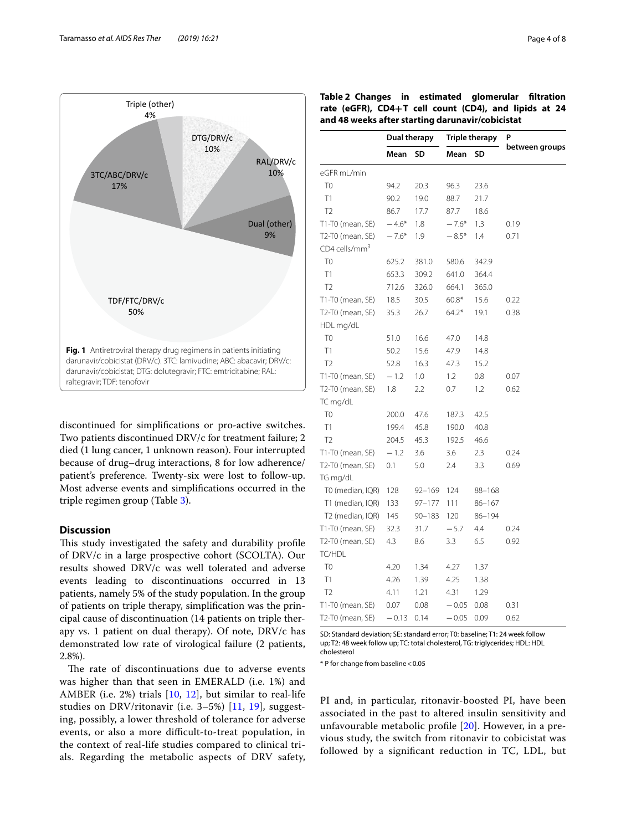

<span id="page-3-0"></span>discontinued for simplifcations or pro-active switches. Two patients discontinued DRV/c for treatment failure; 2 died (1 lung cancer, 1 unknown reason). Four interrupted because of drug–drug interactions, 8 for low adherence/ patient's preference. Twenty-six were lost to follow-up. Most adverse events and simplifcations occurred in the triple regimen group (Table [3](#page-4-1)).

# **Discussion**

This study investigated the safety and durability profile of DRV/c in a large prospective cohort (SCOLTA). Our results showed DRV/c was well tolerated and adverse events leading to discontinuations occurred in 13 patients, namely 5% of the study population. In the group of patients on triple therapy, simplifcation was the principal cause of discontinuation (14 patients on triple therapy vs. 1 patient on dual therapy). Of note, DRV/c has demonstrated low rate of virological failure (2 patients, 2.8%).

The rate of discontinuations due to adverse events was higher than that seen in EMERALD (i.e. 1%) and AMBER (i.e. 2%) trials  $[10, 12]$  $[10, 12]$  $[10, 12]$  $[10, 12]$ , but similar to real-life studies on DRV/ritonavir (i.e. 3–5%) [[11,](#page-6-10) [19\]](#page-6-18), suggesting, possibly, a lower threshold of tolerance for adverse events, or also a more difficult-to-treat population, in the context of real-life studies compared to clinical trials. Regarding the metabolic aspects of DRV safety,

<span id="page-3-1"></span>

| Table 2 Changes in estimated glomerular filtration<br>rate (eGFR), CD4+T cell count (CD4), and lipids at 24<br>and 48 weeks after starting darunavir/cobicistat |         |              |         |                |                |  |  |
|-----------------------------------------------------------------------------------------------------------------------------------------------------------------|---------|--------------|---------|----------------|----------------|--|--|
|                                                                                                                                                                 |         | Dual therapy |         | Triple therapy | P              |  |  |
|                                                                                                                                                                 | Mean SD |              | Mean SD |                | between groups |  |  |
| eGFR mL/min                                                                                                                                                     |         |              |         |                |                |  |  |
| T <sub>0</sub>                                                                                                                                                  | 94.2    | 20.3         | 96.3    | 236            |                |  |  |
|                                                                                                                                                                 | 90 Z    | 190          | 88.7    | -21 7          |                |  |  |

| eGFR mL/min                 |         |            |         |            |      |
|-----------------------------|---------|------------|---------|------------|------|
| T <sub>0</sub>              | 94.2    | 20.3       | 96.3    | 23.6       |      |
| T1                          | 90.2    | 19.0       | 88.7    | 21.7       |      |
| T <sub>2</sub>              | 86.7    | 17.7       | 87.7    | 18.6       |      |
| T1-T0 (mean, SE)            | $-4.6*$ | 1.8        | $-7.6*$ | 1.3        | 0.19 |
| T2-T0 (mean, SE)            | $-7.6*$ | 1.9        | $-8.5*$ | 1.4        | 0.71 |
| $CD4$ cells/mm <sup>3</sup> |         |            |         |            |      |
| T <sub>0</sub>              | 625.2   | 381.0      | 580.6   | 342.9      |      |
| T1                          | 653.3   | 309.2      | 641.0   | 364.4      |      |
| T <sub>2</sub>              | 712.6   | 326.0      | 664.1   | 365.0      |      |
| T1-T0 (mean, SE)            | 18.5    | 30.5       | $60.8*$ | 15.6       | 0.22 |
| T2-T0 (mean, SE)            | 35.3    | 26.7       | $64.2*$ | 19.1       | 0.38 |
| HDL mg/dL                   |         |            |         |            |      |
| T <sub>0</sub>              | 51.0    | 16.6       | 47.0    | 14.8       |      |
| T1                          | 50.2    | 15.6       | 47.9    | 14.8       |      |
| T <sub>2</sub>              | 52.8    | 16.3       | 47.3    | 15.2       |      |
| T1-T0 (mean, SE)            | $-1.2$  | 1.0        | 1.2     | 0.8        | 0.07 |
| T2-T0 (mean, SE)            | 1.8     | 2.2        | 0.7     | 1.2        | 0.62 |
| TC mg/dL                    |         |            |         |            |      |
| T <sub>0</sub>              | 200.0   | 47.6       | 187.3   | 42.5       |      |
| T1                          | 199.4   | 45.8       | 190.0   | 40.8       |      |
| T <sub>2</sub>              | 204.5   | 45.3       | 192.5   | 46.6       |      |
| T1-T0 (mean, SE)            | $-1.2$  | 3.6        | 3.6     | 2.3        | 0.24 |
| T2-T0 (mean, SE)            | 0.1     | 5.0        | 2.4     | 3.3        | 0.69 |
| TG mg/dL                    |         |            |         |            |      |
| T0 (median, IQR)            | 128     | 92-169     | 124     | 88-168     |      |
| T1 (median, IQR)            | 133     | 97-177     | 111     | $86 - 167$ |      |
| T2 (median, IQR)            | 145     | $90 - 183$ | 120     | $86 - 194$ |      |
| T1-T0 (mean, SE)            | 32.3    | 31.7       | $-5.7$  | 4.4        | 0.24 |
| T2-T0 (mean, SE)            | 4.3     | 8.6        | 3.3     | 6.5        | 0.92 |
| TC/HDL                      |         |            |         |            |      |
| T <sub>0</sub>              | 4.20    | 1.34       | 4.27    | 1.37       |      |
| T1                          | 4.26    | 1.39       | 4.25    | 1.38       |      |
| T <sub>2</sub>              | 4.11    | 1.21       | 4.31    | 1.29       |      |
| T1-T0 (mean, SE)            | 0.07    | 0.08       | $-0.05$ | 0.08       | 0.31 |
| T2-T0 (mean, SE)            | $-0.13$ | 0.14       | $-0.05$ | 0.09       | 0.62 |

SD: Standard deviation; SE: standard error; T0: baseline; T1: 24 week follow up; T2: 48 week follow up; TC: total cholesterol, TG: triglycerides; HDL: HDL cholesterol

\* P for change from baseline<0.05

PI and, in particular, ritonavir-boosted PI, have been associated in the past to altered insulin sensitivity and unfavourable metabolic profle [[20](#page-6-19)]. However, in a previous study, the switch from ritonavir to cobicistat was followed by a signifcant reduction in TC, LDL, but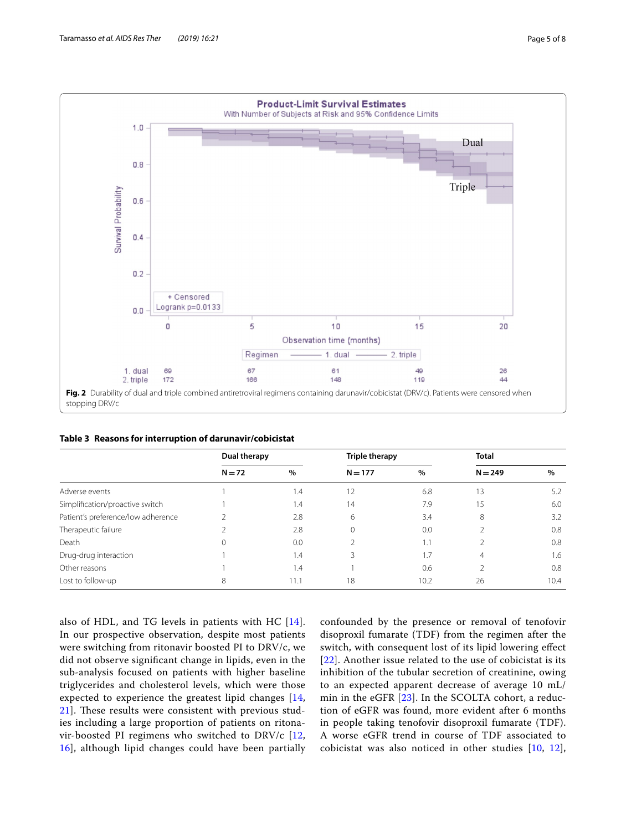

<span id="page-4-1"></span><span id="page-4-0"></span>

|                                    | Dual therapy |      | Triple therapy |      | <b>Total</b>   |      |
|------------------------------------|--------------|------|----------------|------|----------------|------|
|                                    | $N = 72$     | $\%$ | $N = 177$      | $\%$ | $N = 249$      | $\%$ |
| Adverse events                     |              | 1.4  | 12             | 6.8  | 13             | 5.2  |
| Simplification/proactive switch    |              | 1.4  | 14             | 7.9  | 15             | 6.0  |
| Patient's preference/low adherence |              | 2.8  | 6              | 3.4  | 8              | 3.2  |
| Therapeutic failure                |              | 2.8  | $\Omega$       | 0.0  |                | 0.8  |
| Death                              | 0            | 0.0  |                | 1.1  |                | 0.8  |
| Drug-drug interaction              |              | 1.4  |                | 1.7  | $\overline{4}$ | 1.6  |
| Other reasons                      |              | 1.4  |                | 0.6  |                | 0.8  |
| Lost to follow-up                  | 8            | 11.1 | 18             | 10.2 | 26             | 10.4 |

also of HDL, and TG levels in patients with HC [[14](#page-6-13)]. In our prospective observation, despite most patients were switching from ritonavir boosted PI to DRV/c, we did not observe signifcant change in lipids, even in the sub-analysis focused on patients with higher baseline triglycerides and cholesterol levels, which were those expected to experience the greatest lipid changes [\[14](#page-6-13), [21\]](#page-6-20). These results were consistent with previous studies including a large proportion of patients on ritonavir-boosted PI regimens who switched to DRV/c [\[12](#page-6-11), [16\]](#page-6-15), although lipid changes could have been partially confounded by the presence or removal of tenofovir disoproxil fumarate (TDF) from the regimen after the switch, with consequent lost of its lipid lowering efect [[22](#page-6-21)]. Another issue related to the use of cobicistat is its inhibition of the tubular secretion of creatinine, owing to an expected apparent decrease of average 10 mL/ min in the eGFR [[23](#page-6-22)]. In the SCOLTA cohort, a reduction of eGFR was found, more evident after 6 months in people taking tenofovir disoproxil fumarate (TDF). A worse eGFR trend in course of TDF associated to cobicistat was also noticed in other studies [[10,](#page-6-9) [12](#page-6-11)],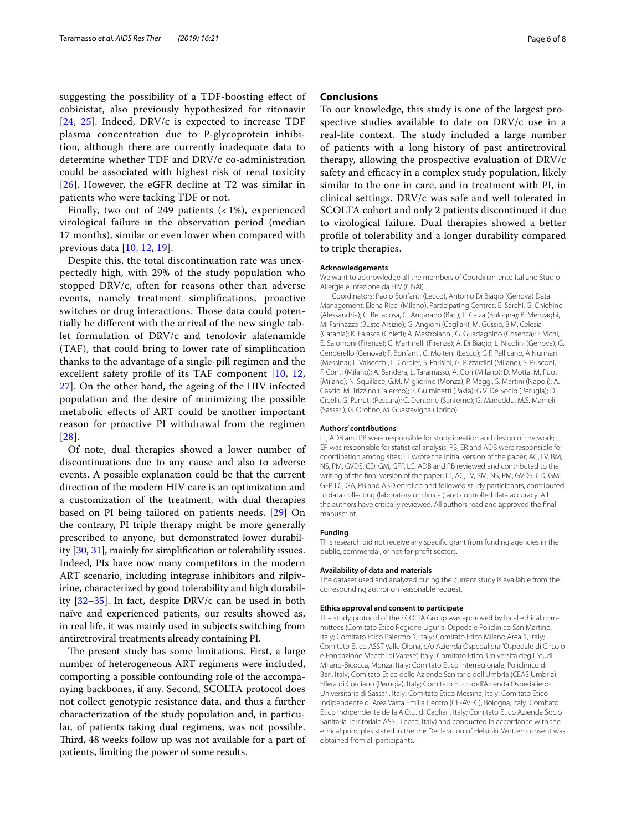suggesting the possibility of a TDF-boosting efect of cobicistat, also previously hypothesized for ritonavir [[24](#page-6-23), [25\]](#page-6-24). Indeed, DRV/c is expected to increase TDF plasma concentration due to P-glycoprotein inhibition, although there are currently inadequate data to determine whether TDF and DRV/c co-administration could be associated with highest risk of renal toxicity [[26](#page-6-25)]. However, the eGFR decline at T2 was similar in patients who were tacking TDF or not.

Finally, two out of 249 patients  $($  < 1%), experienced virological failure in the observation period (median 17 months), similar or even lower when compared with previous data [\[10](#page-6-9), [12](#page-6-11), [19](#page-6-18)].

Despite this, the total discontinuation rate was unexpectedly high, with 29% of the study population who stopped DRV/c, often for reasons other than adverse events, namely treatment simplifcations, proactive switches or drug interactions. Those data could potentially be diferent with the arrival of the new single tablet formulation of DRV/c and tenofovir alafenamide (TAF), that could bring to lower rate of simplifcation thanks to the advantage of a single-pill regimen and the excellent safety profle of its TAF component [[10,](#page-6-9) [12](#page-6-11), [27\]](#page-6-26). On the other hand, the ageing of the HIV infected population and the desire of minimizing the possible metabolic efects of ART could be another important reason for proactive PI withdrawal from the regimen [[28](#page-6-27)].

Of note, dual therapies showed a lower number of discontinuations due to any cause and also to adverse events. A possible explanation could be that the current direction of the modern HIV care is an optimization and a customization of the treatment, with dual therapies based on PI being tailored on patients needs. [\[29](#page-7-0)] On the contrary, PI triple therapy might be more generally prescribed to anyone, but demonstrated lower durability [[30](#page-7-1), [31\]](#page-7-2), mainly for simplifcation or tolerability issues. Indeed, PIs have now many competitors in the modern ART scenario, including integrase inhibitors and rilpivirine, characterized by good tolerability and high durability [[32–](#page-7-3)[35](#page-7-4)]. In fact, despite DRV/c can be used in both naïve and experienced patients, our results showed as, in real life, it was mainly used in subjects switching from antiretroviral treatments already containing PI.

The present study has some limitations. First, a large number of heterogeneous ART regimens were included, comporting a possible confounding role of the accompanying backbones, if any. Second, SCOLTA protocol does not collect genotypic resistance data, and thus a further characterization of the study population and, in particular, of patients taking dual regimens, was not possible. Third, 48 weeks follow up was not available for a part of patients, limiting the power of some results.

# **Conclusions**

To our knowledge, this study is one of the largest prospective studies available to date on DRV/c use in a real-life context. The study included a large number of patients with a long history of past antiretroviral therapy, allowing the prospective evaluation of DRV/c safety and efficacy in a complex study population, likely similar to the one in care, and in treatment with PI, in clinical settings. DRV/c was safe and well tolerated in SCOLTA cohort and only 2 patients discontinued it due to virological failure. Dual therapies showed a better profle of tolerability and a longer durability compared to triple therapies.

#### **Acknowledgements**

We want to acknowledge all the members of Coordinamento Italiano Studio Allergie e Infezione da HIV (CISAI).

Coordinators: Paolo Bonfanti (Lecco), Antonio Di Biagio (Genova) Data Management: Elena Ricci (Milano). Participating Centres: E. Sarchi, G. Chichino (Alessandria); C. Bellacosa, G. Angarano (Bari); L. Calza (Bologna); B. Menzaghi, M. Farinazzo (Busto Arsizio); G. Angioni (Cagliari); M. Gussio, B.M. Celesia (Catania); K. Falasca (Chieti); A. Mastroianni, G. Guadagnino (Cosenza); F. Vichi, E. Salomoni (Firenze); C. Martinelli (Firenze); A. Di Biagio, L. Nicolini (Genova); G. Cenderello (Genova); P. Bonfanti, C. Molteni (Lecco); G.F. Pellicanò, A Nunnari (Messina); L. Valsecchi, L. Cordier, S. Parisini, G. Rizzardini (Milano); S. Rusconi, F. Conti (Milano); A. Bandera, L. Taramasso, A. Gori (Milano); D. Motta, M. Puoti (Milano); N. Squillace, G.M. Migliorino (Monza); P. Maggi, S. Martini (Napoli); A. Cascio, M. Trizzino (Palermo); R. Gulminetti (Pavia); G.V. De Socio (Perugia); D. Cibelli, G. Parruti (Pescara); C. Dentone (Sanremo); G. Madeddu, M.S. Mameli (Sassari); G. Orofno, M. Guastavigna (Torino).

#### **Authors' contributions**

LT. ADB and PB were responsible for study ideation and design of the work: ER was responsible for statistical analysis; PB, ER and ADB were responsible for coordination among sites; LT wrote the initial version of the paper; AC, LV, BM, NS, PM, GVDS, CD, GM, GFP, LC, ADB and PB reviewed and contributed to the writing of the fnal version of the paper; LT, AC, LV, BM, NS, PM, GVDS, CD, GM, GFP, LC, GA, PB and ABD enrolled and followed study participants, contributed to data collecting (laboratory or clinical) and controlled data accuracy. All the authors have critically reviewed. All authors read and approved the fnal manuscript.

#### **Funding**

This research did not receive any specifc grant from funding agencies in the public, commercial, or not-for-proft sectors.

#### **Availability of data and materials**

The dataset used and analyzed during the current study is available from the corresponding author on reasonable request.

## **Ethics approval and consent to participate**

The study protocol of the SCOLTA Group was approved by local ethical committees (Comitato Etico Regione Liguria, Ospedale Policlinico San Martino, Italy; Comitato Etico Palermo 1, Italy; Comitato Etico Milano Area 1, Italy; Comitato Etico ASST Valle Olona, c/o Azienda Ospedaliera "Ospedale di Circolo e Fondazione Macchi di Varese", Italy; Comitato Etico, Università degli Studi Milano-Bicocca, Monza, Italy; Comitato Etico Interregionale, Policlinico di Bari, Italy; Comitato Etico delle Aziende Sanitarie dell'Umbria (CEAS Umbria), Ellera di Corciano (Perugia), Italy; Comitato Etico dell'Azienda Ospedaliero-Universitaria di Sassari, Italy; Comitato Etico Messina, Italy; Comitato Etico Indipendente di Area Vasta Emilia Centro (CE-AVEC), Bologna, Italy; Comitato Etico Indipendente della A.O.U. di Cagliari, Italy; Comitato Etico Azienda Socio Sanitaria Territoriale ASST Lecco, Italy) and conducted in accordance with the ethical principles stated in the the Declaration of Helsinki. Written consent was obtained from all participants.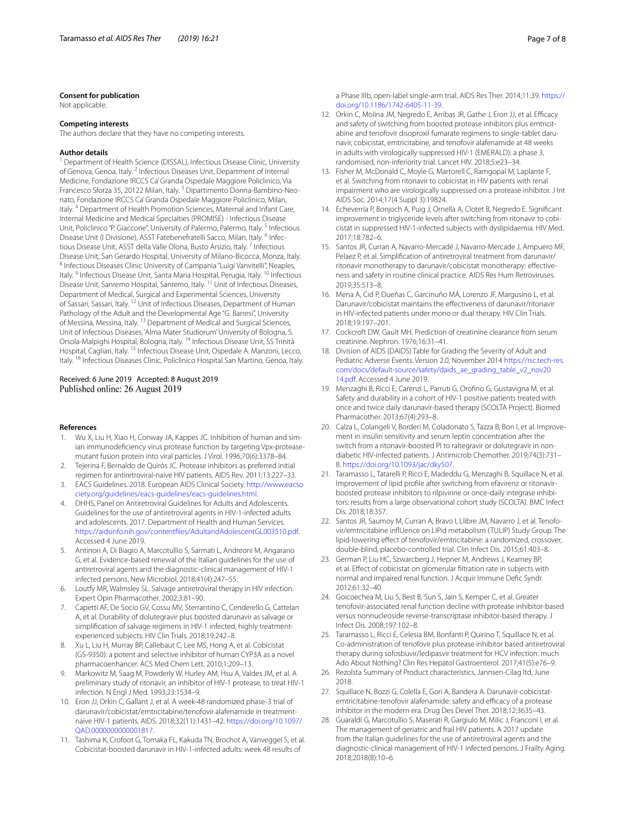#### **Consent for publication**

Not applicable.

#### **Competing interests**

The authors declare that they have no competing interests.

#### **Author details**

<sup>1</sup> Department of Health Science (DISSAL), Infectious Disease Clinic, University of Genova, Genoa, Italy. <sup>2</sup> Infectious Diseases Unit, Department of Internal Medicine, Fondazione IRCCS Ca' Granda Ospedale Maggiore Policlinico, Via Francesco Sforza 35, 20122 Milan, Italy. 3 Dipartimento Donna-Bambino-Neonato, Fondazione IRCCS Ca' Granda Ospedale Maggiore Policlinico, Milan, Italy. 4 Department of Health Promotion Sciences, Maternal and Infant Care, Internal Medicine and Medical Specialties (PROMISE) - Infectious Disease Unit, Policlinico "P. Giaccone", University of Palermo, Palermo, Italy. <sup>5</sup> Infectious Disease Unit (I Divisione), ASST Fatebenefratelli Sacco, Milan, Italy. <sup>6</sup> Infectious Disease Unit, ASST della Valle Olona, Busto Arsizio, Italy. 7 Infectious Disease Unit, San Gerardo Hospital, University of Milano-Bicocca, Monza, Italy.<br><sup>8</sup> Infectious Diseases Clinic University of Campania "Luigi Vanvitelli", Neaples, Italy. <sup>9</sup> Infectious Disease Unit, Santa Maria Hospital, Perugia, Italy. <sup>10</sup> Infectious Disease Unit, Sanremo Hospital, Sanremo, Italy. 11 Unit of Infectious Diseases, Department of Medical, Surgical and Experimental Sciences, University of Sassari, Sassari, Italy. <sup>12</sup> Unit of Infectious Diseases, Department of Human Pathology of the Adult and the Developmental Age "G. Barresi", University of Messina, Messina, Italy. 13 Department of Medical and Surgical Sciences, Unit of Infectious Diseases, 'Alma Mater Studiorum' University of Bologna, S. Orsola-Malpighi Hospital, Bologna, Italy. 14 Infectious Disease Unit, SS Trinità Hospital, Cagliari, Italy. 15 Infectious Disease Unit, Ospedale A. Manzoni, Lecco, Italy. 16 Infectious Diseases Clinic, Policlinico Hospital San Martino, Genoa, Italy.

# Received: 6 June 2019 Accepted: 8 August 2019 Published online: 26 August 2019

#### **References**

- <span id="page-6-0"></span>Wu X, Liu H, Xiao H, Conway JA, Kappes JC. Inhibition of human and simian immunodefciency virus protease function by targeting Vpx-proteasemutant fusion protein into viral particles. J Virol. 1996;70(6):3378–84.
- <span id="page-6-1"></span>2. Tejerina F, Bernaldo de Quirós JC. Protease inhibitors as preferred initial regimen for antiretroviral-naive HIV patients. AIDS Rev. 2011;13:227–33.
- <span id="page-6-2"></span>3. EACS Guidelines. 2018. European AIDS Clinical Society. [http://www.eacso](http://www.eacsociety.org/guidelines/eacs-guidelines/eacs-guidelines.html) [ciety.org/guidelines/eacs-guidelines/eacs-guidelines.html](http://www.eacsociety.org/guidelines/eacs-guidelines/eacs-guidelines.html).
- <span id="page-6-3"></span>4. DHHS, Panel on Antiretroviral Guidelines for Adults and Adolescents. Guidelines for the use of antiretroviral agents in HIV-1-infected adults and adolescents. 2017. Department of Health and Human Services. [https://aidsinfo.nih.gov/contentfles/AdultandAdolescentGL003510.pdf.](https://aidsinfo.nih.gov/contentfiles/AdultandAdolescentGL003510.pdf) Accessed 4 June 2019.
- <span id="page-6-4"></span>5. Antinori A, Di Biagio A, Marcotullio S, Sarmati L, Andreoni M, Angarano G, et al. Evidence-based renewal of the Italian guidelines for the use of antiretroviral agents and the diagnostic-clinical management of HIV-1 infected persons. New Microbiol. 2018;41(4):247–55.
- <span id="page-6-5"></span>6. Loutfy MR, Walmsley SL. Salvage antiretroviral therapy in HIV infection. Expert Opin Pharmacother. 2002;3:81–90.
- <span id="page-6-6"></span>7. Capetti AF, De Socio GV, Cossu MV, Sterrantino C, Cenderello G, Cattelan A, et al. Durability of dolutegravir plus boosted darunavir as salvage or simplifcation of salvage regimens in HIV-1 infected, highly treatmentexperienced subjects. HIV Clin Trials. 2018;19:242–8.
- <span id="page-6-7"></span>8. Xu L, Liu H, Murray BP, Callebaut C, Lee MS, Hong A, et al. Cobicistat (GS-9350): a potent and selective inhibitor of human CYP3A as a novel pharmacoenhancer. ACS Med Chem Lett. 2010;1:209–13.
- <span id="page-6-8"></span>9. Markowitz M, Saag M, Powderly W, Hurley AM, Hsu A, Valdes JM, et al. A preliminary study of ritonavir, an inhibitor of HIV-1 protease, to treat HIV-1 infection. N Engl J Med. 1993;23:1534–9.
- <span id="page-6-9"></span>10. Eron JJ, Orkin C, Gallant J, et al. A week-48 randomized phase-3 trial of darunavir/cobicistat/emtricitabine/tenofovir alafenamide in treatmentnaive HIV-1 patients. AIDS. 2018;32(11):1431–42. [https://doi.org/10.1097/](https://doi.org/10.1097/QAD.0000000000001817) [QAD.0000000000001817.](https://doi.org/10.1097/QAD.0000000000001817)
- <span id="page-6-10"></span>11. Tashima K, Crofoot G, Tomaka FL, Kakuda TN, Brochot A, Vanveggel S, et al. Cobicistat-boosted darunavir in HIV-1-infected adults: week 48 results of

a Phase IIIb, open-label single-arm trial. AIDS Res Ther. 2014;11:39. [https://](https://doi.org/10.1186/1742-6405-11-39) [doi.org/10.1186/1742-6405-11-39](https://doi.org/10.1186/1742-6405-11-39).

- <span id="page-6-11"></span>12. Orkin C, Molina JM, Negredo E, Arribas JR, Gathe J, Eron JJ, et al. Efficacy and safety of switching from boosted protease inhibitors plus emtricitabine and tenofovir disoproxil fumarate regimens to single-tablet darunavir, cobicistat, emtricitabine, and tenofovir alafenamide at 48 weeks in adults with virologically suppressed HIV-1 (EMERALD): a phase 3, randomised, non-inferiority trial. Lancet HIV. 2018;5:e23–34.
- <span id="page-6-12"></span>13. Fisher M, McDonald C, Moyle G, Martorell C, Ramgopal M, Laplante F, et al. Switching from ritonavir to cobicistat in HIV patients with renal impairment who are virologically suppressed on a protease inhibitor. J Int AIDS Soc. 2014;17(4 Suppl 3):19824.
- <span id="page-6-13"></span>14. Echeverría P, Bonjoch A, Puig J, Ornella A, Clotet B, Negredo E. Signifcant improvement in triglyceride levels after switching from ritonavir to cobicistat in suppressed HIV-1-infected subjects with dyslipidaemia. HIV Med. 2017;18:782–6.
- <span id="page-6-14"></span>15. Santos JR, Curran A, Navarro-Mercadé J, Navarro-Mercade J, Ampuero MF, Pelaez P, et al. Simplifcation of antiretroviral treatment from darunavir/ ritonavir monotherapy to darunavir/cobicistat monotherapy: efectiveness and safety in routine clinical practice. AIDS Res Hum Retroviruses. 2019;35:513–8.
- <span id="page-6-15"></span>16. Mena A, Cid P, Dueñas C, Garcinuño MÁ, Lorenzo JF, Margusino L, et al. Darunavir/cobicistat maintains the efectiveness of darunavir/ritonavir in HIV-infected patients under mono or dual therapy. HIV Clin Trials. 2018;19:197–201.
- <span id="page-6-16"></span>17. Cockcroft DW, Gault MH. Prediction of creatinine clearance from serum creatinine. Nephron. 1976;16:31–41.
- <span id="page-6-17"></span>18. Division of AIDS (DAIDS) Table for Grading the Severity of Adult and Pediatric Adverse Events. Version 2.0, November 2014 [https://rsc.tech-res.](https://rsc.tech-res.com/docs/default-source/safety/daids_ae_grading_table_v2_nov2014.pdf) [com/docs/default-source/safety/daids\\_ae\\_grading\\_table\\_v2\\_nov20](https://rsc.tech-res.com/docs/default-source/safety/daids_ae_grading_table_v2_nov2014.pdf) [14.pdf](https://rsc.tech-res.com/docs/default-source/safety/daids_ae_grading_table_v2_nov2014.pdf). Accessed 4 June 2019.
- <span id="page-6-18"></span>19. Menzaghi B, Ricci E, Carenzi L, Parruti G, Orofno G, Gustavigna M, et al. Safety and durability in a cohort of HIV-1 positive patients treated with once and twice daily darunavir-based therapy (SCOLTA Project). Biomed Pharmacother. 2013;67(4):293–8.
- <span id="page-6-19"></span>20. Calza L, Colangeli V, Borderi M, Coladonato S, Tazza B, Bon I, et al. Improvement in insulin sensitivity and serum leptin concentration after the switch from a ritonavir-boosted PI to raltegravir or dolutegravir in nondiabetic HIV-infected patients. J Antimicrob Chemother. 2019;74(3):731– 8. [https://doi.org/10.1093/jac/dky507.](https://doi.org/10.1093/jac/dky507)
- <span id="page-6-20"></span>21. Taramasso L, Tatarelli P, Ricci E, Madeddu G, Menzaghi B, Squillace N, et al. Improvement of lipid profle after switching from efavirenz or ritonavirboosted protease inhibitors to rilpivirine or once-daily integrase inhibitors: results from a large observational cohort study (SCOLTA). BMC Infect Dis. 2018;18:357.
- <span id="page-6-21"></span>22. Santos JR, Saumoy M, Curran A, Bravo I, Llibre JM, Navarro J, et al. Tenofovir/emtricitabine infUence on LIPid metabolism (TULIP) Study Group. The lipid-lowering efect of tenofovir/emtricitabine: a randomized, crossover, double-blind, placebo-controlled trial. Clin Infect Dis. 2015;61:403–8.
- <span id="page-6-22"></span>23. German P, Liu HC, Szwarcberg J, Hepner M, Andrews J, Kearney BP, et al. Efect of cobicistat on glomerular fltration rate in subjects with normal and impaired renal function. J Acquir Immune Defc Syndr. 2012;61:32–40.
- <span id="page-6-23"></span>24. Goicoechea M, Liu S, Best B, Sun S, Jain S, Kemper C, et al. Greater tenofovir-associated renal function decline with protease inhibitor-based versus nonnucleoside reverse-transcriptase inhibitor-based therapy. J Infect Dis. 2008;197:102–8.
- <span id="page-6-24"></span>25. Taramasso L, Ricci E, Celesia BM, Bonfanti P, Quirino T, Squillace N, et al. Co-administration of tenofovir plus protease inhibitor based antiretroviral therapy during sofosbuvir/ledipasvir treatment for HCV infection: much Ado About Nothing? Clin Res Hepatol Gastroenterol. 2017;41(5):e76–9.
- <span id="page-6-25"></span>26. Rezolsta Summary of Product characteristics, Jannsen-Cilag ltd, June 2018.
- <span id="page-6-26"></span>27. Squillace N, Bozzi G, Colella E, Gori A, Bandera A. Darunavir-cobicistatemtricitabine-tenofovir alafenamide: safety and efficacy of a protease inhibitor in the modern era. Drug Des Devel Ther. 2018;12:3635–43.
- <span id="page-6-27"></span>28. Guaraldi G, Marcotullio S, Maserati R, Gargiulo M, Milic J, Franconi I, et al. The management of geriatric and frail HIV patients. A 2017 update from the Italian guidelines for the use of antiretroviral agents and the diagnostic-clinical management of HIV-1 infected persons. J Frailty Aging. 2018;2018(8):10–6.